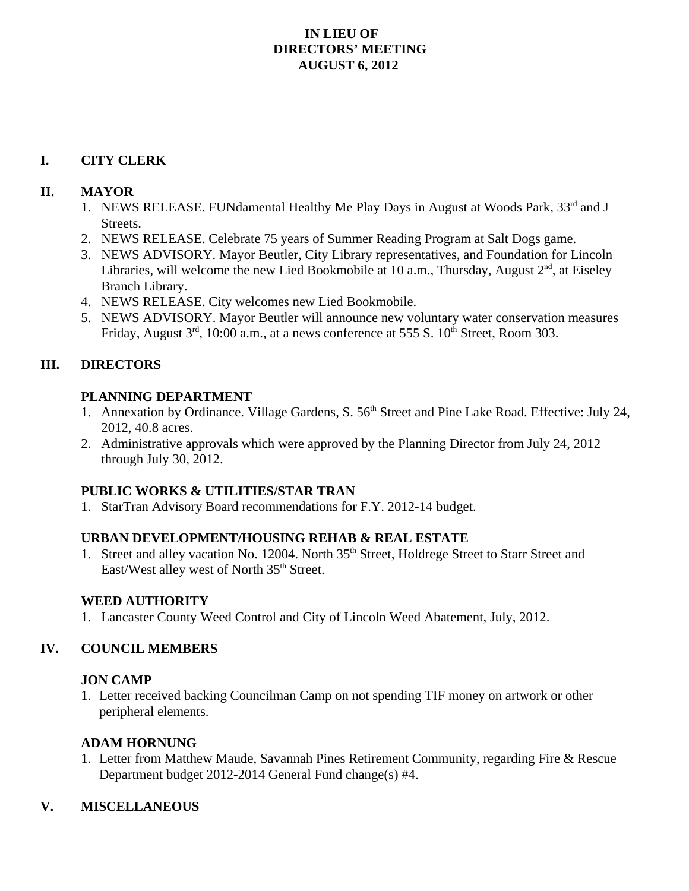## **IN LIEU OF DIRECTORS' MEETING AUGUST 6, 2012**

### **I. CITY CLERK**

### **II. MAYOR**

- 1. NEWS RELEASE. FUNdamental Healthy Me Play Days in August at Woods Park, 33<sup>rd</sup> and J Streets.
- 2. NEWS RELEASE. Celebrate 75 years of Summer Reading Program at Salt Dogs game.
- 3. NEWS ADVISORY. Mayor Beutler, City Library representatives, and Foundation for Lincoln Libraries, will welcome the new Lied Bookmobile at 10 a.m., Thursday, August  $2<sup>nd</sup>$ , at Eiseley Branch Library.
- 4. NEWS RELEASE. City welcomes new Lied Bookmobile.
- 5. NEWS ADVISORY. Mayor Beutler will announce new voluntary water conservation measures Friday, August  $3<sup>rd</sup>$ , 10:00 a.m., at a news conference at 555 S.  $10<sup>th</sup>$  Street, Room 303.

# **III. DIRECTORS**

### **PLANNING DEPARTMENT**

- 1. Annexation by Ordinance. Village Gardens, S. 56<sup>th</sup> Street and Pine Lake Road. Effective: July 24, 2012, 40.8 acres.
- 2. Administrative approvals which were approved by the Planning Director from July 24, 2012 through July 30, 2012.

## **PUBLIC WORKS & UTILITIES/STAR TRAN**

1. StarTran Advisory Board recommendations for F.Y. 2012-14 budget.

## **URBAN DEVELOPMENT/HOUSING REHAB & REAL ESTATE**

1. Street and alley vacation No. 12004. North 35<sup>th</sup> Street, Holdrege Street to Starr Street and East/West alley west of North 35<sup>th</sup> Street.

#### **WEED AUTHORITY**

1. Lancaster County Weed Control and City of Lincoln Weed Abatement, July, 2012.

## **IV. COUNCIL MEMBERS**

#### **JON CAMP**

1. Letter received backing Councilman Camp on not spending TIF money on artwork or other peripheral elements.

## **ADAM HORNUNG**

1. Letter from Matthew Maude, Savannah Pines Retirement Community, regarding Fire & Rescue Department budget 2012-2014 General Fund change(s) #4.

## **V. MISCELLANEOUS**